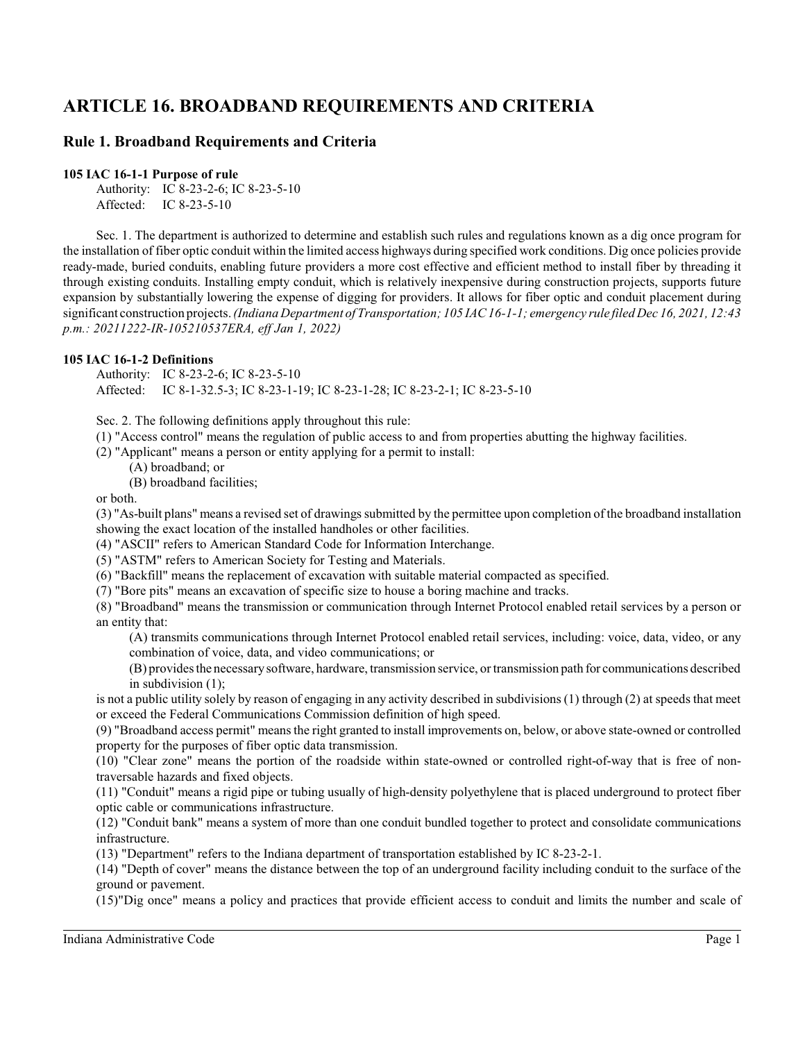# **ARTICLE 16. BROADBAND REQUIREMENTS AND CRITERIA**

# **Rule 1. Broadband Requirements and Criteria**

### **105 IAC 16-1-1 Purpose of rule**

Authority: IC 8-23-2-6; IC 8-23-5-10 Affected: IC 8-23-5-10

Sec. 1. The department is authorized to determine and establish such rules and regulations known as a dig once program for the installation of fiber optic conduit within the limited access highways during specified work conditions. Dig once policies provide ready-made, buried conduits, enabling future providers a more cost effective and efficient method to install fiber by threading it through existing conduits. Installing empty conduit, which is relatively inexpensive during construction projects, supports future expansion by substantially lowering the expense of digging for providers. It allows for fiber optic and conduit placement during significant construction projects. *(Indiana Department of Transportation; 105 IAC 16-1-1; emergency rule filed Dec 16, 2021, 12:43 p.m.: 20211222-IR-105210537ERA, eff Jan 1, 2022)*

# **105 IAC 16-1-2 Definitions**

Authority: IC 8-23-2-6; IC 8-23-5-10 Affected: IC 8-1-32.5-3; IC 8-23-1-19; IC 8-23-1-28; IC 8-23-2-1; IC 8-23-5-10

Sec. 2. The following definitions apply throughout this rule:

(1) "Access control" means the regulation of public access to and from properties abutting the highway facilities.

(2) "Applicant" means a person or entity applying for a permit to install:

- (A) broadband; or
- (B) broadband facilities;

or both.

(3) "As-built plans" means a revised set of drawings submitted by the permittee upon completion of the broadband installation showing the exact location of the installed handholes or other facilities.

(4) "ASCII" refers to American Standard Code for Information Interchange.

(5) "ASTM" refers to American Society for Testing and Materials.

(6) "Backfill" means the replacement of excavation with suitable material compacted as specified.

(7) "Bore pits" means an excavation of specific size to house a boring machine and tracks.

(8) "Broadband" means the transmission or communication through Internet Protocol enabled retail services by a person or an entity that:

(A) transmits communications through Internet Protocol enabled retail services, including: voice, data, video, or any combination of voice, data, and video communications; or

(B) provides the necessary software, hardware, transmission service, or transmission path for communications described in subdivision (1);

is not a public utility solely by reason of engaging in any activity described in subdivisions(1) through (2) at speeds that meet or exceed the Federal Communications Commission definition of high speed.

(9) "Broadband access permit" means the right granted to install improvements on, below, or above state-owned or controlled property for the purposes of fiber optic data transmission.

(10) "Clear zone" means the portion of the roadside within state-owned or controlled right-of-way that is free of nontraversable hazards and fixed objects.

(11) "Conduit" means a rigid pipe or tubing usually of high-density polyethylene that is placed underground to protect fiber optic cable or communications infrastructure.

(12) "Conduit bank" means a system of more than one conduit bundled together to protect and consolidate communications infrastructure.

(13) "Department" refers to the Indiana department of transportation established by IC 8-23-2-1.

(14) "Depth of cover" means the distance between the top of an underground facility including conduit to the surface of the ground or pavement.

(15)"Dig once" means a policy and practices that provide efficient access to conduit and limits the number and scale of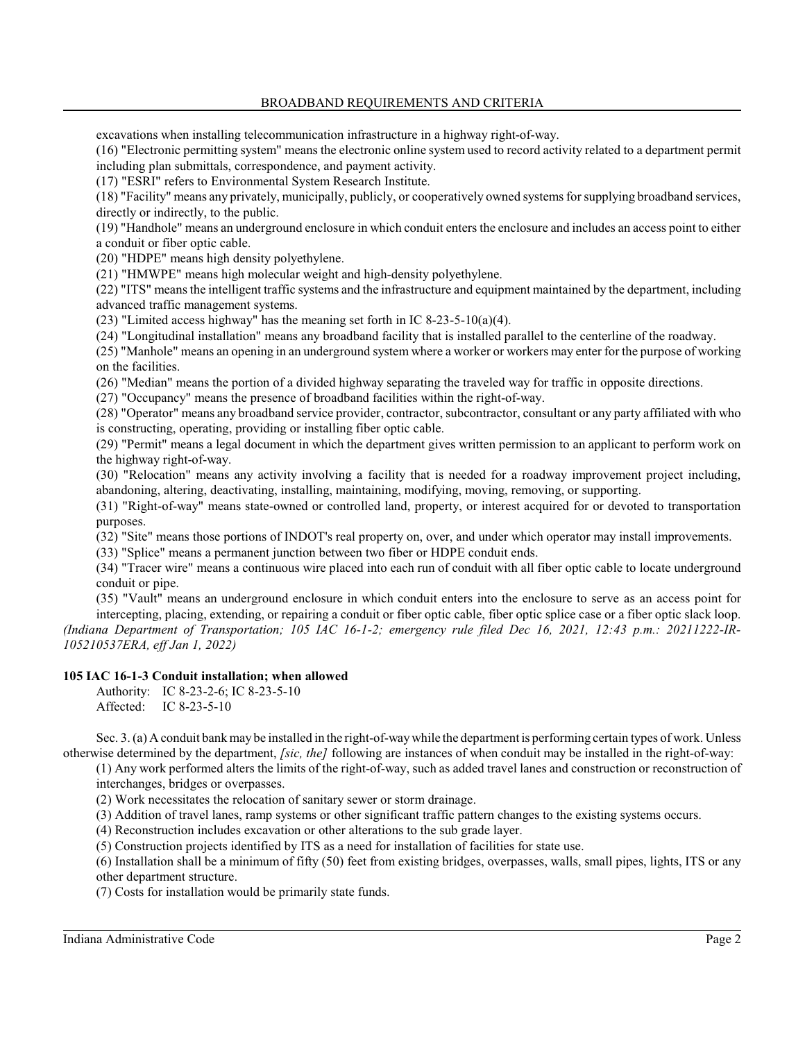excavations when installing telecommunication infrastructure in a highway right-of-way.

(16) "Electronic permitting system" means the electronic online system used to record activity related to a department permit including plan submittals, correspondence, and payment activity.

(17) "ESRI" refers to Environmental System Research Institute.

(18) "Facility" means any privately, municipally, publicly, or cooperatively owned systems for supplying broadband services, directly or indirectly, to the public.

(19) "Handhole" means an underground enclosure in which conduit enters the enclosure and includes an access point to either a conduit or fiber optic cable.

(20) "HDPE" means high density polyethylene.

(21) "HMWPE" means high molecular weight and high-density polyethylene.

(22) "ITS" means the intelligent traffic systems and the infrastructure and equipment maintained by the department, including advanced traffic management systems.

(23) "Limited access highway" has the meaning set forth in IC 8-23-5-10(a)(4).

(24) "Longitudinal installation" means any broadband facility that is installed parallel to the centerline of the roadway.

(25) "Manhole" means an opening in an underground system where a worker or workers may enter for the purpose of working on the facilities.

(26) "Median" means the portion of a divided highway separating the traveled way for traffic in opposite directions.

(27) "Occupancy" means the presence of broadband facilities within the right-of-way.

(28) "Operator" means any broadband service provider, contractor, subcontractor, consultant or any party affiliated with who is constructing, operating, providing or installing fiber optic cable.

(29) "Permit" means a legal document in which the department gives written permission to an applicant to perform work on the highway right-of-way.

(30) "Relocation" means any activity involving a facility that is needed for a roadway improvement project including, abandoning, altering, deactivating, installing, maintaining, modifying, moving, removing, or supporting.

(31) "Right-of-way" means state-owned or controlled land, property, or interest acquired for or devoted to transportation purposes.

(32) "Site" means those portions of INDOT's real property on, over, and under which operator may install improvements.

(33) "Splice" means a permanent junction between two fiber or HDPE conduit ends.

(34) "Tracer wire" means a continuous wire placed into each run of conduit with all fiber optic cable to locate underground conduit or pipe.

(35) "Vault" means an underground enclosure in which conduit enters into the enclosure to serve as an access point for intercepting, placing, extending, or repairing a conduit or fiber optic cable, fiber optic splice case or a fiber optic slack loop. *(Indiana Department of Transportation; 105 IAC 16-1-2; emergency rule filed Dec 16, 2021, 12:43 p.m.: 20211222-IR-105210537ERA, eff Jan 1, 2022)*

# **105 IAC 16-1-3 Conduit installation; when allowed**

Authority: IC 8-23-2-6; IC 8-23-5-10 Affected: IC 8-23-5-10

Sec. 3. (a) A conduit bank may be installed in the right-of-waywhile the department is performing certain types of work. Unless otherwise determined by the department, *[sic, the]* following are instances of when conduit may be installed in the right-of-way:

(1) Any work performed alters the limits of the right-of-way, such as added travel lanes and construction or reconstruction of interchanges, bridges or overpasses.

(2) Work necessitates the relocation of sanitary sewer or storm drainage.

(3) Addition of travel lanes, ramp systems or other significant traffic pattern changes to the existing systems occurs.

(4) Reconstruction includes excavation or other alterations to the sub grade layer.

(5) Construction projects identified by ITS as a need for installation of facilities for state use.

(6) Installation shall be a minimum of fifty (50) feet from existing bridges, overpasses, walls, small pipes, lights, ITS or any other department structure.

(7) Costs for installation would be primarily state funds.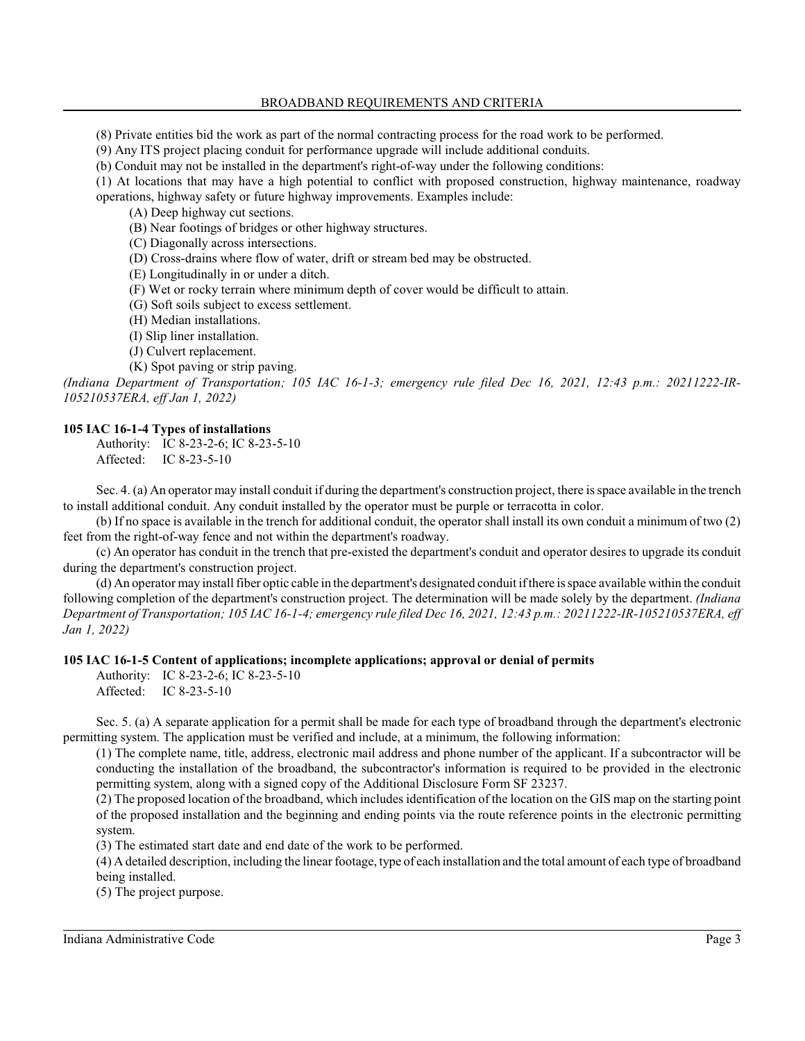(8) Private entities bid the work as part of the normal contracting process for the road work to be performed.

(9) Any ITS project placing conduit for performance upgrade will include additional conduits.

(b) Conduit may not be installed in the department's right-of-way under the following conditions:

(1) At locations that may have a high potential to conflict with proposed construction, highway maintenance, roadway

operations, highway safety or future highway improvements. Examples include:

(A) Deep highway cut sections.

(B) Near footings of bridges or other highway structures.

(C) Diagonally across intersections.

(D) Cross-drains where flow of water, drift or stream bed may be obstructed.

(E) Longitudinally in or under a ditch.

(F) Wet or rocky terrain where minimum depth of cover would be difficult to attain.

(G) Soft soils subject to excess settlement.

(H) Median installations.

(I) Slip liner installation.

(J) Culvert replacement.

(K) Spot paving or strip paving.

*(Indiana Department of Transportation; 105 IAC 16-1-3; emergency rule filed Dec 16, 2021, 12:43 p.m.: 20211222-IR-105210537ERA, eff Jan 1, 2022)*

### **105 IAC 16-1-4 Types of installations**

Authority: IC 8-23-2-6; IC 8-23-5-10 Affected: IC 8-23-5-10

Sec. 4. (a) An operator may install conduit if during the department's construction project, there is space available in the trench to install additional conduit. Any conduit installed by the operator must be purple or terracotta in color.

(b) If no space is available in the trench for additional conduit, the operator shall install its own conduit a minimum of two (2) feet from the right-of-way fence and not within the department's roadway.

(c) An operator has conduit in the trench that pre-existed the department's conduit and operator desires to upgrade its conduit during the department's construction project.

(d) An operator may install fiber optic cable in the department's designated conduit if there is space available within the conduit following completion of the department's construction project. The determination will be made solely by the department. *(Indiana Department of Transportation; 105 IAC 16-1-4; emergency rule filed Dec 16, 2021, 12:43 p.m.: 20211222-IR-105210537ERA, eff Jan 1, 2022)*

# **105 IAC 16-1-5 Content of applications; incomplete applications; approval or denial of permits**

Authority: IC 8-23-2-6; IC 8-23-5-10 Affected: IC 8-23-5-10

Sec. 5. (a) A separate application for a permit shall be made for each type of broadband through the department's electronic permitting system. The application must be verified and include, at a minimum, the following information:

(1) The complete name, title, address, electronic mail address and phone number of the applicant. If a subcontractor will be conducting the installation of the broadband, the subcontractor's information is required to be provided in the electronic permitting system, along with a signed copy of the Additional Disclosure Form SF 23237.

(2) The proposed location of the broadband, which includes identification of the location on the GIS map on the starting point of the proposed installation and the beginning and ending points via the route reference points in the electronic permitting system.

(3) The estimated start date and end date of the work to be performed.

(4) A detailed description, including the linear footage, type of each installation and the total amount of each type of broadband being installed.

(5) The project purpose.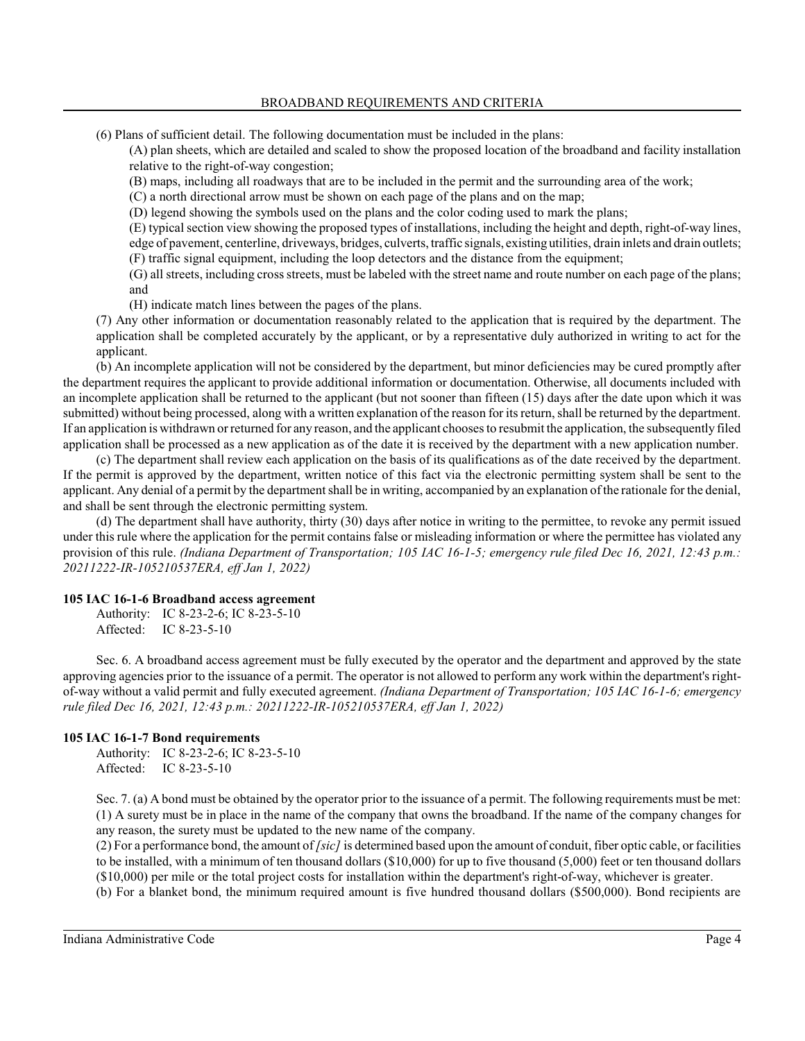(6) Plans of sufficient detail. The following documentation must be included in the plans:

(A) plan sheets, which are detailed and scaled to show the proposed location of the broadband and facility installation relative to the right-of-way congestion;

(B) maps, including all roadways that are to be included in the permit and the surrounding area of the work;

(C) a north directional arrow must be shown on each page of the plans and on the map;

(D) legend showing the symbols used on the plans and the color coding used to mark the plans;

(E) typical section view showing the proposed types of installations, including the height and depth, right-of-way lines, edge of pavement, centerline, driveways, bridges, culverts, traffic signals, existing utilities, drain inlets and drain outlets; (F) traffic signal equipment, including the loop detectors and the distance from the equipment;

(G) all streets, including cross streets, must be labeled with the street name and route number on each page of the plans; and

(H) indicate match lines between the pages of the plans.

(7) Any other information or documentation reasonably related to the application that is required by the department. The application shall be completed accurately by the applicant, or by a representative duly authorized in writing to act for the applicant.

(b) An incomplete application will not be considered by the department, but minor deficiencies may be cured promptly after the department requires the applicant to provide additional information or documentation. Otherwise, all documents included with an incomplete application shall be returned to the applicant (but not sooner than fifteen (15) days after the date upon which it was submitted) without being processed, along with a written explanation of the reason for its return, shall be returned by the department. If an application is withdrawn or returned for any reason, and the applicant chooses to resubmit the application, the subsequently filed application shall be processed as a new application as of the date it is received by the department with a new application number.

(c) The department shall review each application on the basis of its qualifications as of the date received by the department. If the permit is approved by the department, written notice of this fact via the electronic permitting system shall be sent to the applicant. Any denial of a permit by the department shall be in writing, accompanied by an explanation of the rationale for the denial, and shall be sent through the electronic permitting system.

(d) The department shall have authority, thirty (30) days after notice in writing to the permittee, to revoke any permit issued under thisrule where the application for the permit contains false or misleading information or where the permittee has violated any provision of this rule. *(Indiana Department of Transportation; 105 IAC 16-1-5; emergency rule filed Dec 16, 2021, 12:43 p.m.: 20211222-IR-105210537ERA, eff Jan 1, 2022)*

### **105 IAC 16-1-6 Broadband access agreement**

Authority: IC 8-23-2-6; IC 8-23-5-10 Affected: IC 8-23-5-10

Sec. 6. A broadband access agreement must be fully executed by the operator and the department and approved by the state approving agencies prior to the issuance of a permit. The operator is not allowed to perform any work within the department's rightof-way without a valid permit and fully executed agreement. *(Indiana Department of Transportation; 105 IAC 16-1-6; emergency rule filed Dec 16, 2021, 12:43 p.m.: 20211222-IR-105210537ERA, eff Jan 1, 2022)*

### **105 IAC 16-1-7 Bond requirements**

Authority: IC 8-23-2-6; IC 8-23-5-10 Affected: IC 8-23-5-10

Sec. 7. (a) A bond must be obtained by the operator prior to the issuance of a permit. The following requirements must be met: (1) A surety must be in place in the name of the company that owns the broadband. If the name of the company changes for any reason, the surety must be updated to the new name of the company.

(2) For a performance bond, the amount of *[sic]* is determined based upon the amount of conduit, fiber optic cable, or facilities to be installed, with a minimum of ten thousand dollars (\$10,000) for up to five thousand (5,000) feet or ten thousand dollars (\$10,000) per mile or the total project costs for installation within the department's right-of-way, whichever is greater.

(b) For a blanket bond, the minimum required amount is five hundred thousand dollars (\$500,000). Bond recipients are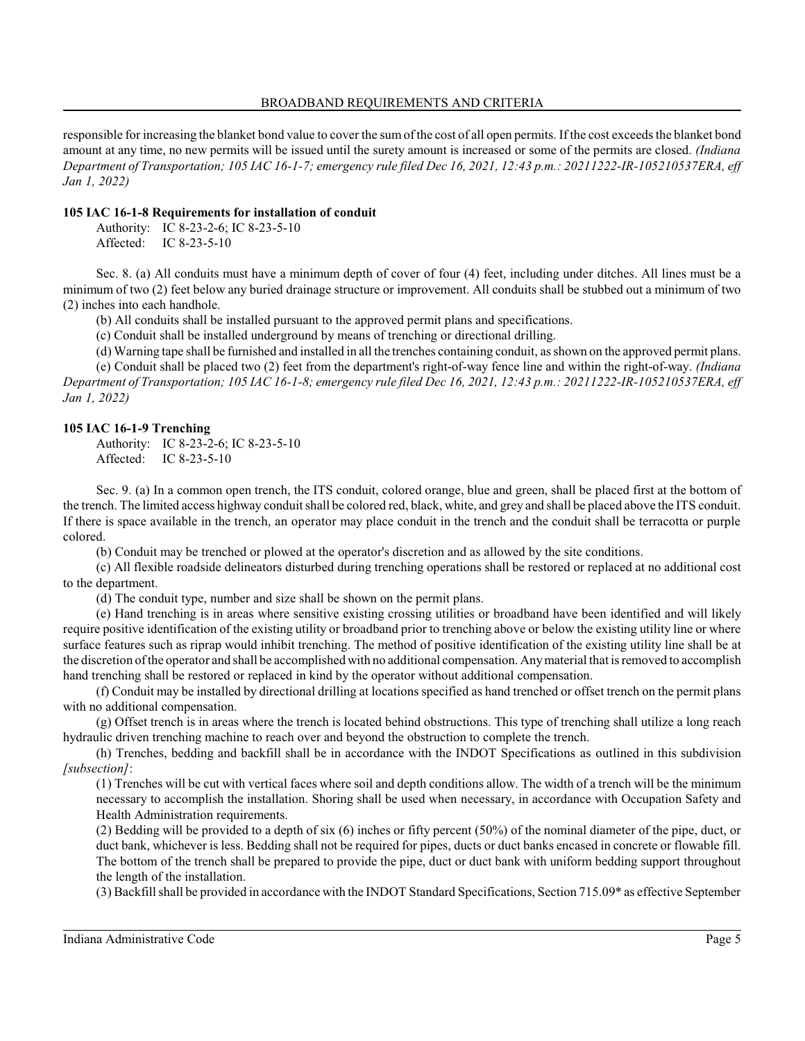responsible for increasing the blanket bond value to cover the sumof the cost of all open permits. If the cost exceeds the blanket bond amount at any time, no new permits will be issued until the surety amount is increased or some of the permits are closed. *(Indiana Department of Transportation; 105 IAC 16-1-7; emergency rule filed Dec 16, 2021, 12:43 p.m.: 20211222-IR-105210537ERA, eff Jan 1, 2022)*

# **105 IAC 16-1-8 Requirements for installation of conduit**

Authority: IC 8-23-2-6; IC 8-23-5-10 Affected: IC 8-23-5-10

Sec. 8. (a) All conduits must have a minimum depth of cover of four (4) feet, including under ditches. All lines must be a minimum of two (2) feet below any buried drainage structure or improvement. All conduits shall be stubbed out a minimum of two (2) inches into each handhole.

(b) All conduits shall be installed pursuant to the approved permit plans and specifications.

(c) Conduit shall be installed underground by means of trenching or directional drilling.

(d) Warning tape shall be furnished and installed in all the trenches containing conduit, as shown on the approved permit plans.

(e) Conduit shall be placed two (2) feet from the department's right-of-way fence line and within the right-of-way. *(Indiana Department of Transportation; 105 IAC 16-1-8; emergency rule filed Dec 16, 2021, 12:43 p.m.: 20211222-IR-105210537ERA, eff Jan 1, 2022)*

# **105 IAC 16-1-9 Trenching**

Authority: IC 8-23-2-6; IC 8-23-5-10 Affected: IC 8-23-5-10

Sec. 9. (a) In a common open trench, the ITS conduit, colored orange, blue and green, shall be placed first at the bottom of the trench. The limited access highway conduit shall be colored red, black, white, and grey and shall be placed above the ITS conduit. If there is space available in the trench, an operator may place conduit in the trench and the conduit shall be terracotta or purple colored.

(b) Conduit may be trenched or plowed at the operator's discretion and as allowed by the site conditions.

(c) All flexible roadside delineators disturbed during trenching operations shall be restored or replaced at no additional cost to the department.

(d) The conduit type, number and size shall be shown on the permit plans.

(e) Hand trenching is in areas where sensitive existing crossing utilities or broadband have been identified and will likely require positive identification of the existing utility or broadband prior to trenching above or below the existing utility line or where surface features such as riprap would inhibit trenching. The method of positive identification of the existing utility line shall be at the discretion of the operator and shall be accomplished with no additional compensation. Anymaterial that is removed to accomplish hand trenching shall be restored or replaced in kind by the operator without additional compensation.

(f) Conduit may be installed by directional drilling at locations specified as hand trenched or offset trench on the permit plans with no additional compensation.

(g) Offset trench is in areas where the trench is located behind obstructions. This type of trenching shall utilize a long reach hydraulic driven trenching machine to reach over and beyond the obstruction to complete the trench.

(h) Trenches, bedding and backfill shall be in accordance with the INDOT Specifications as outlined in this subdivision *[subsection]*:

(1) Trenches will be cut with vertical faces where soil and depth conditions allow. The width of a trench will be the minimum necessary to accomplish the installation. Shoring shall be used when necessary, in accordance with Occupation Safety and Health Administration requirements.

(2) Bedding will be provided to a depth of six (6) inches or fifty percent (50%) of the nominal diameter of the pipe, duct, or duct bank, whichever is less. Bedding shall not be required for pipes, ducts or duct banks encased in concrete or flowable fill. The bottom of the trench shall be prepared to provide the pipe, duct or duct bank with uniform bedding support throughout the length of the installation.

(3) Backfill shall be provided in accordance with the INDOT Standard Specifications, Section 715.09\* as effective September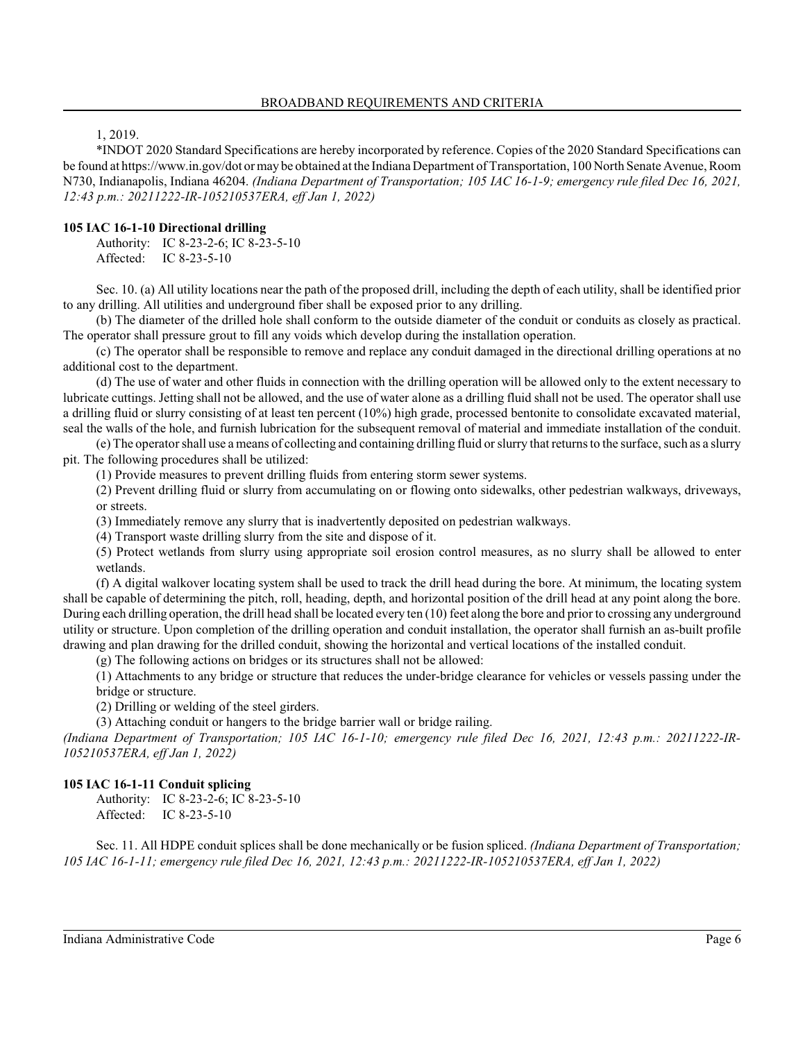# 1, 2019.

\*INDOT 2020 Standard Specifications are hereby incorporated by reference. Copies of the 2020 Standard Specifications can be found at https://www.in.gov/dot ormay be obtained at the Indiana Department of Transportation, 100 North Senate Avenue, Room N730, Indianapolis, Indiana 46204. *(Indiana Department of Transportation; 105 IAC 16-1-9; emergency rule filed Dec 16, 2021, 12:43 p.m.: 20211222-IR-105210537ERA, eff Jan 1, 2022)*

# **105 IAC 16-1-10 Directional drilling**

Authority: IC 8-23-2-6; IC 8-23-5-10 Affected: IC 8-23-5-10

Sec. 10. (a) All utility locations near the path of the proposed drill, including the depth of each utility, shall be identified prior to any drilling. All utilities and underground fiber shall be exposed prior to any drilling.

(b) The diameter of the drilled hole shall conform to the outside diameter of the conduit or conduits as closely as practical. The operator shall pressure grout to fill any voids which develop during the installation operation.

(c) The operator shall be responsible to remove and replace any conduit damaged in the directional drilling operations at no additional cost to the department.

(d) The use of water and other fluids in connection with the drilling operation will be allowed only to the extent necessary to lubricate cuttings. Jetting shall not be allowed, and the use of water alone as a drilling fluid shall not be used. The operator shall use a drilling fluid or slurry consisting of at least ten percent (10%) high grade, processed bentonite to consolidate excavated material, seal the walls of the hole, and furnish lubrication for the subsequent removal of material and immediate installation of the conduit.

(e) The operator shall use a means of collecting and containing drilling fluid orslurry that returns to the surface, such as a slurry pit. The following procedures shall be utilized:

(1) Provide measures to prevent drilling fluids from entering storm sewer systems.

(2) Prevent drilling fluid or slurry from accumulating on or flowing onto sidewalks, other pedestrian walkways, driveways, or streets.

(3) Immediately remove any slurry that is inadvertently deposited on pedestrian walkways.

(4) Transport waste drilling slurry from the site and dispose of it.

(5) Protect wetlands from slurry using appropriate soil erosion control measures, as no slurry shall be allowed to enter wetlands.

(f) A digital walkover locating system shall be used to track the drill head during the bore. At minimum, the locating system shall be capable of determining the pitch, roll, heading, depth, and horizontal position of the drill head at any point along the bore. During each drilling operation, the drill head shall be located every ten (10) feet along the bore and prior to crossing any underground utility or structure. Upon completion of the drilling operation and conduit installation, the operator shall furnish an as-built profile drawing and plan drawing for the drilled conduit, showing the horizontal and vertical locations of the installed conduit.

(g) The following actions on bridges or its structures shall not be allowed:

(1) Attachments to any bridge or structure that reduces the under-bridge clearance for vehicles or vessels passing under the bridge or structure.

(2) Drilling or welding of the steel girders.

(3) Attaching conduit or hangers to the bridge barrier wall or bridge railing.

*(Indiana Department of Transportation; 105 IAC 16-1-10; emergency rule filed Dec 16, 2021, 12:43 p.m.: 20211222-IR-105210537ERA, eff Jan 1, 2022)*

# **105 IAC 16-1-11 Conduit splicing**

Authority: IC 8-23-2-6; IC 8-23-5-10 Affected: IC 8-23-5-10

Sec. 11. All HDPE conduit splices shall be done mechanically or be fusion spliced. *(Indiana Department of Transportation; 105 IAC 16-1-11; emergency rule filed Dec 16, 2021, 12:43 p.m.: 20211222-IR-105210537ERA, eff Jan 1, 2022)*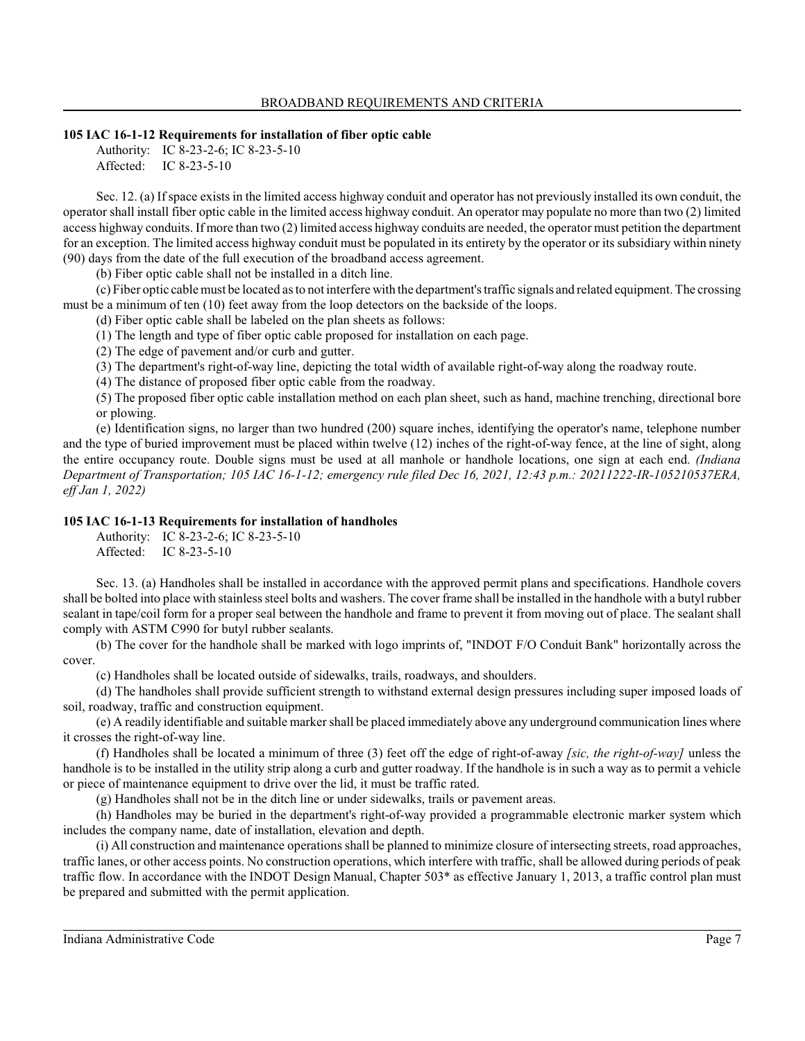### **105 IAC 16-1-12 Requirements for installation of fiber optic cable**

Authority: IC 8-23-2-6; IC 8-23-5-10 Affected: IC 8-23-5-10

Sec. 12. (a) If space existsin the limited access highway conduit and operator has not previously installed its own conduit, the operator shall install fiber optic cable in the limited access highway conduit. An operator may populate no more than two (2) limited access highway conduits. If more than two (2) limited access highway conduits are needed, the operator must petition the department for an exception. The limited access highway conduit must be populated in its entirety by the operator or its subsidiary within ninety (90) days from the date of the full execution of the broadband access agreement.

(b) Fiber optic cable shall not be installed in a ditch line.

(c) Fiber optic cable must be located as to not interfere with the department's traffic signals and related equipment. The crossing must be a minimum of ten (10) feet away from the loop detectors on the backside of the loops.

(d) Fiber optic cable shall be labeled on the plan sheets as follows:

(1) The length and type of fiber optic cable proposed for installation on each page.

(2) The edge of pavement and/or curb and gutter.

(3) The department's right-of-way line, depicting the total width of available right-of-way along the roadway route.

(4) The distance of proposed fiber optic cable from the roadway.

(5) The proposed fiber optic cable installation method on each plan sheet, such as hand, machine trenching, directional bore or plowing.

(e) Identification signs, no larger than two hundred (200) square inches, identifying the operator's name, telephone number and the type of buried improvement must be placed within twelve (12) inches of the right-of-way fence, at the line of sight, along the entire occupancy route. Double signs must be used at all manhole or handhole locations, one sign at each end. *(Indiana Department of Transportation; 105 IAC 16-1-12; emergency rule filed Dec 16, 2021, 12:43 p.m.: 20211222-IR-105210537ERA, eff Jan 1, 2022)*

# **105 IAC 16-1-13 Requirements for installation of handholes**

Authority: IC 8-23-2-6; IC 8-23-5-10 Affected: IC 8-23-5-10

Sec. 13. (a) Handholes shall be installed in accordance with the approved permit plans and specifications. Handhole covers shall be bolted into place with stainless steel bolts and washers. The cover frame shall be installed in the handhole with a butyl rubber sealant in tape/coil form for a proper seal between the handhole and frame to prevent it from moving out of place. The sealant shall comply with ASTM C990 for butyl rubber sealants.

(b) The cover for the handhole shall be marked with logo imprints of, "INDOT F/O Conduit Bank" horizontally across the cover.

(c) Handholes shall be located outside of sidewalks, trails, roadways, and shoulders.

(d) The handholes shall provide sufficient strength to withstand external design pressures including super imposed loads of soil, roadway, traffic and construction equipment.

(e) A readily identifiable and suitable marker shall be placed immediately above any underground communication lines where it crosses the right-of-way line.

(f) Handholes shall be located a minimum of three (3) feet off the edge of right-of-away *[sic, the right-of-way]* unless the handhole is to be installed in the utility strip along a curb and gutter roadway. If the handhole is in such a way as to permit a vehicle or piece of maintenance equipment to drive over the lid, it must be traffic rated.

(g) Handholes shall not be in the ditch line or under sidewalks, trails or pavement areas.

(h) Handholes may be buried in the department's right-of-way provided a programmable electronic marker system which includes the company name, date of installation, elevation and depth.

(i) All construction and maintenance operations shall be planned to minimize closure of intersecting streets, road approaches, traffic lanes, or other access points. No construction operations, which interfere with traffic, shall be allowed during periods of peak traffic flow. In accordance with the INDOT Design Manual, Chapter 503\* as effective January 1, 2013, a traffic control plan must be prepared and submitted with the permit application.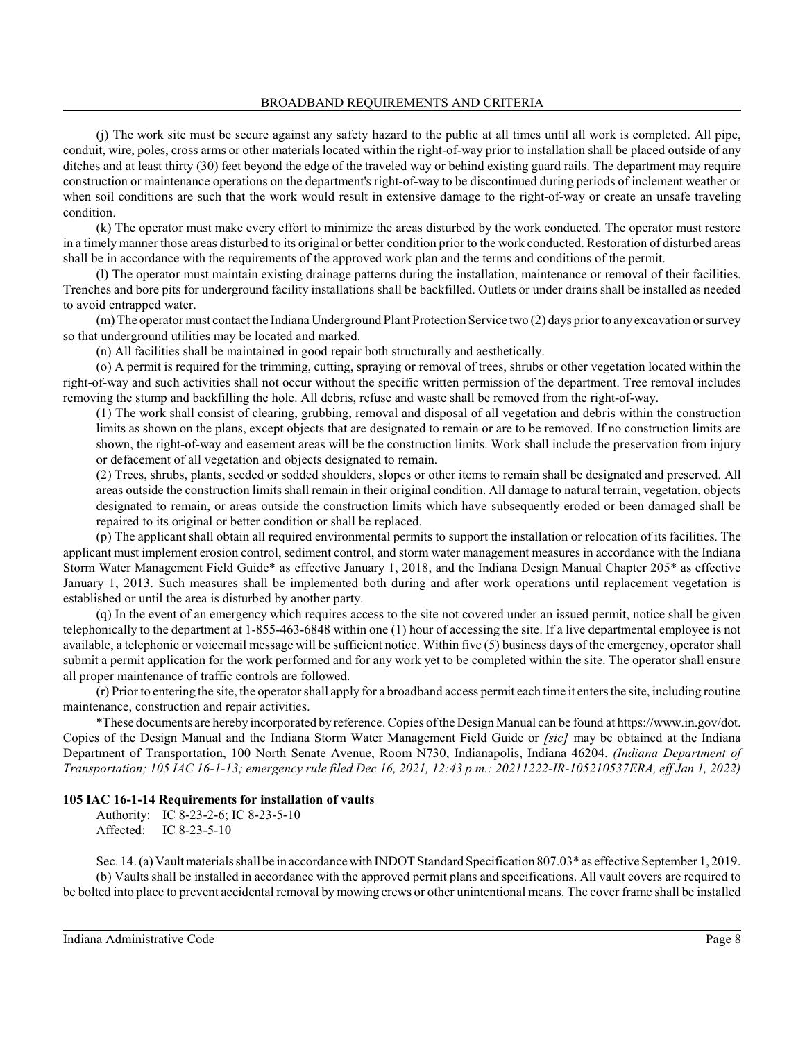(j) The work site must be secure against any safety hazard to the public at all times until all work is completed. All pipe, conduit, wire, poles, cross arms or other materials located within the right-of-way prior to installation shall be placed outside of any ditches and at least thirty (30) feet beyond the edge of the traveled way or behind existing guard rails. The department may require construction or maintenance operations on the department's right-of-way to be discontinued during periods of inclement weather or when soil conditions are such that the work would result in extensive damage to the right-of-way or create an unsafe traveling condition.

(k) The operator must make every effort to minimize the areas disturbed by the work conducted. The operator must restore in a timely manner those areas disturbed to its original or better condition prior to the work conducted. Restoration of disturbed areas shall be in accordance with the requirements of the approved work plan and the terms and conditions of the permit.

(l) The operator must maintain existing drainage patterns during the installation, maintenance or removal of their facilities. Trenches and bore pits for underground facility installations shall be backfilled. Outlets or under drains shall be installed as needed to avoid entrapped water.

(m) The operator must contact the Indiana Underground Plant Protection Service two (2) days prior to any excavation orsurvey so that underground utilities may be located and marked.

(n) All facilities shall be maintained in good repair both structurally and aesthetically.

(o) A permit is required for the trimming, cutting, spraying or removal of trees, shrubs or other vegetation located within the right-of-way and such activities shall not occur without the specific written permission of the department. Tree removal includes removing the stump and backfilling the hole. All debris, refuse and waste shall be removed from the right-of-way.

(1) The work shall consist of clearing, grubbing, removal and disposal of all vegetation and debris within the construction limits as shown on the plans, except objects that are designated to remain or are to be removed. If no construction limits are shown, the right-of-way and easement areas will be the construction limits. Work shall include the preservation from injury or defacement of all vegetation and objects designated to remain.

(2) Trees, shrubs, plants, seeded or sodded shoulders, slopes or other items to remain shall be designated and preserved. All areas outside the construction limits shall remain in their original condition. All damage to natural terrain, vegetation, objects designated to remain, or areas outside the construction limits which have subsequently eroded or been damaged shall be repaired to its original or better condition or shall be replaced.

(p) The applicant shall obtain all required environmental permits to support the installation or relocation of its facilities. The applicant must implement erosion control, sediment control, and storm water management measures in accordance with the Indiana Storm Water Management Field Guide\* as effective January 1, 2018, and the Indiana Design Manual Chapter 205\* as effective January 1, 2013. Such measures shall be implemented both during and after work operations until replacement vegetation is established or until the area is disturbed by another party.

(q) In the event of an emergency which requires access to the site not covered under an issued permit, notice shall be given telephonically to the department at 1-855-463-6848 within one (1) hour of accessing the site. If a live departmental employee is not available, a telephonic or voicemail message will be sufficient notice. Within five (5) business days of the emergency, operator shall submit a permit application for the work performed and for any work yet to be completed within the site. The operator shall ensure all proper maintenance of traffic controls are followed.

(r) Prior to entering the site, the operator shall apply for a broadband access permit each time it enters the site, including routine maintenance, construction and repair activities.

\*These documents are hereby incorporated by reference. Copies of the DesignManual can be found at https://www.in.gov/dot. Copies of the Design Manual and the Indiana Storm Water Management Field Guide or *[sic]* may be obtained at the Indiana Department of Transportation, 100 North Senate Avenue, Room N730, Indianapolis, Indiana 46204. *(Indiana Department of Transportation; 105 IAC 16-1-13; emergency rule filed Dec 16, 2021, 12:43 p.m.: 20211222-IR-105210537ERA, eff Jan 1, 2022)*

### **105 IAC 16-1-14 Requirements for installation of vaults**

Authority: IC 8-23-2-6; IC 8-23-5-10 Affected: IC 8-23-5-10

Sec. 14. (a) Vault materials shall be in accordance with INDOT Standard Specification 807.03\* as effective September 1, 2019. (b) Vaults shall be installed in accordance with the approved permit plans and specifications. All vault covers are required to be bolted into place to prevent accidental removal by mowing crews or other unintentional means. The cover frame shall be installed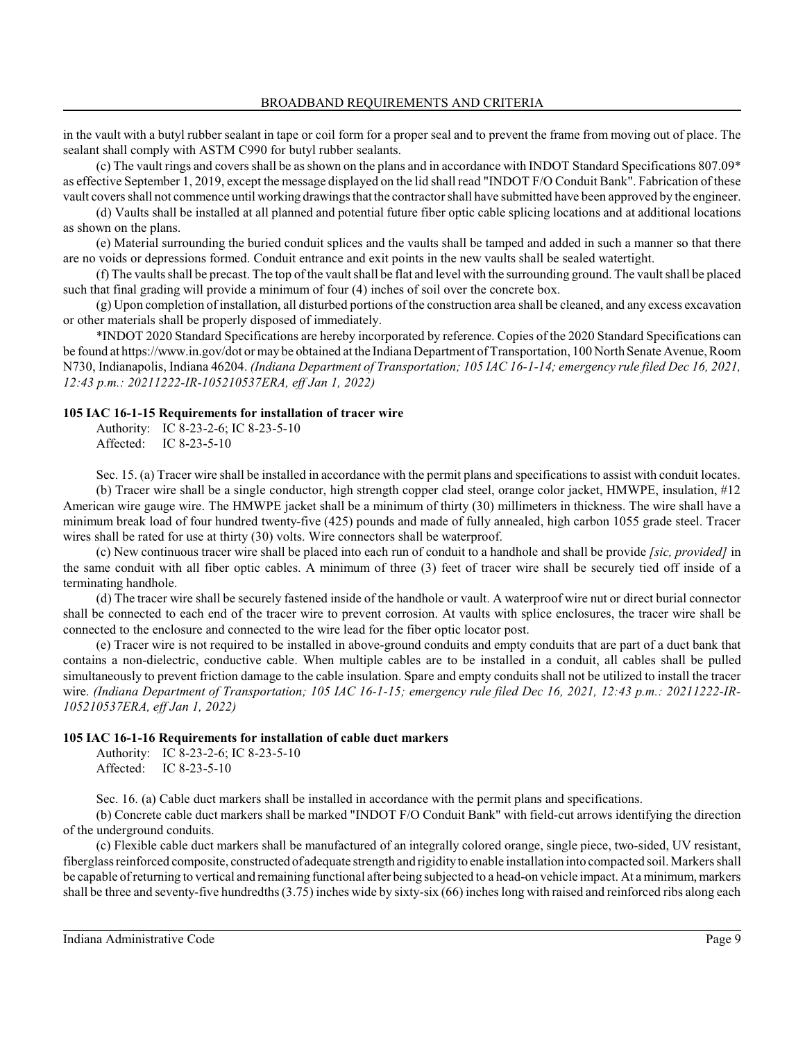in the vault with a butyl rubber sealant in tape or coil form for a proper seal and to prevent the frame from moving out of place. The sealant shall comply with ASTM C990 for butyl rubber sealants.

(c) The vault rings and covers shall be as shown on the plans and in accordance with INDOT Standard Specifications 807.09\* as effective September 1, 2019, except the message displayed on the lid shall read "INDOT F/O Conduit Bank". Fabrication of these vault covers shall not commence until working drawings that the contractor shall have submitted have been approved by the engineer.

(d) Vaults shall be installed at all planned and potential future fiber optic cable splicing locations and at additional locations as shown on the plans.

(e) Material surrounding the buried conduit splices and the vaults shall be tamped and added in such a manner so that there are no voids or depressions formed. Conduit entrance and exit points in the new vaults shall be sealed watertight.

(f) The vaults shall be precast. The top of the vault shall be flat and level with the surrounding ground. The vault shall be placed such that final grading will provide a minimum of four (4) inches of soil over the concrete box.

(g) Upon completion of installation, all disturbed portions of the construction area shall be cleaned, and any excess excavation or other materials shall be properly disposed of immediately.

\*INDOT 2020 Standard Specifications are hereby incorporated by reference. Copies of the 2020 Standard Specifications can be found at https://www.in.gov/dot or may be obtained at the Indiana Department of Transportation, 100 North Senate Avenue, Room N730, Indianapolis, Indiana 46204. *(Indiana Department of Transportation; 105 IAC 16-1-14; emergency rule filed Dec 16, 2021, 12:43 p.m.: 20211222-IR-105210537ERA, eff Jan 1, 2022)*

### **105 IAC 16-1-15 Requirements for installation of tracer wire**

Authority: IC 8-23-2-6; IC 8-23-5-10 Affected: IC 8-23-5-10

Sec. 15. (a) Tracer wire shall be installed in accordance with the permit plans and specifications to assist with conduit locates.

(b) Tracer wire shall be a single conductor, high strength copper clad steel, orange color jacket, HMWPE, insulation, #12 American wire gauge wire. The HMWPE jacket shall be a minimum of thirty (30) millimeters in thickness. The wire shall have a minimum break load of four hundred twenty-five (425) pounds and made of fully annealed, high carbon 1055 grade steel. Tracer wires shall be rated for use at thirty (30) volts. Wire connectors shall be waterproof.

(c) New continuous tracer wire shall be placed into each run of conduit to a handhole and shall be provide *[sic, provided]* in the same conduit with all fiber optic cables. A minimum of three (3) feet of tracer wire shall be securely tied off inside of a terminating handhole.

(d) The tracer wire shall be securely fastened inside of the handhole or vault. A waterproof wire nut or direct burial connector shall be connected to each end of the tracer wire to prevent corrosion. At vaults with splice enclosures, the tracer wire shall be connected to the enclosure and connected to the wire lead for the fiber optic locator post.

(e) Tracer wire is not required to be installed in above-ground conduits and empty conduits that are part of a duct bank that contains a non-dielectric, conductive cable. When multiple cables are to be installed in a conduit, all cables shall be pulled simultaneously to prevent friction damage to the cable insulation. Spare and empty conduits shall not be utilized to install the tracer wire. *(Indiana Department of Transportation; 105 IAC 16-1-15; emergency rule filed Dec 16, 2021, 12:43 p.m.: 20211222-IR-105210537ERA, eff Jan 1, 2022)*

### **105 IAC 16-1-16 Requirements for installation of cable duct markers**

Authority: IC 8-23-2-6; IC 8-23-5-10 Affected: IC 8-23-5-10

Sec. 16. (a) Cable duct markers shall be installed in accordance with the permit plans and specifications.

(b) Concrete cable duct markers shall be marked "INDOT F/O Conduit Bank" with field-cut arrows identifying the direction of the underground conduits.

(c) Flexible cable duct markers shall be manufactured of an integrally colored orange, single piece, two-sided, UV resistant, fiberglass reinforced composite, constructed of adequate strength and rigidity to enable installation into compacted soil. Markers shall be capable of returning to vertical and remaining functional after being subjected to a head-on vehicle impact. At a minimum, markers shall be three and seventy-five hundredths(3.75) inches wide by sixty-six (66) inches long with raised and reinforced ribs along each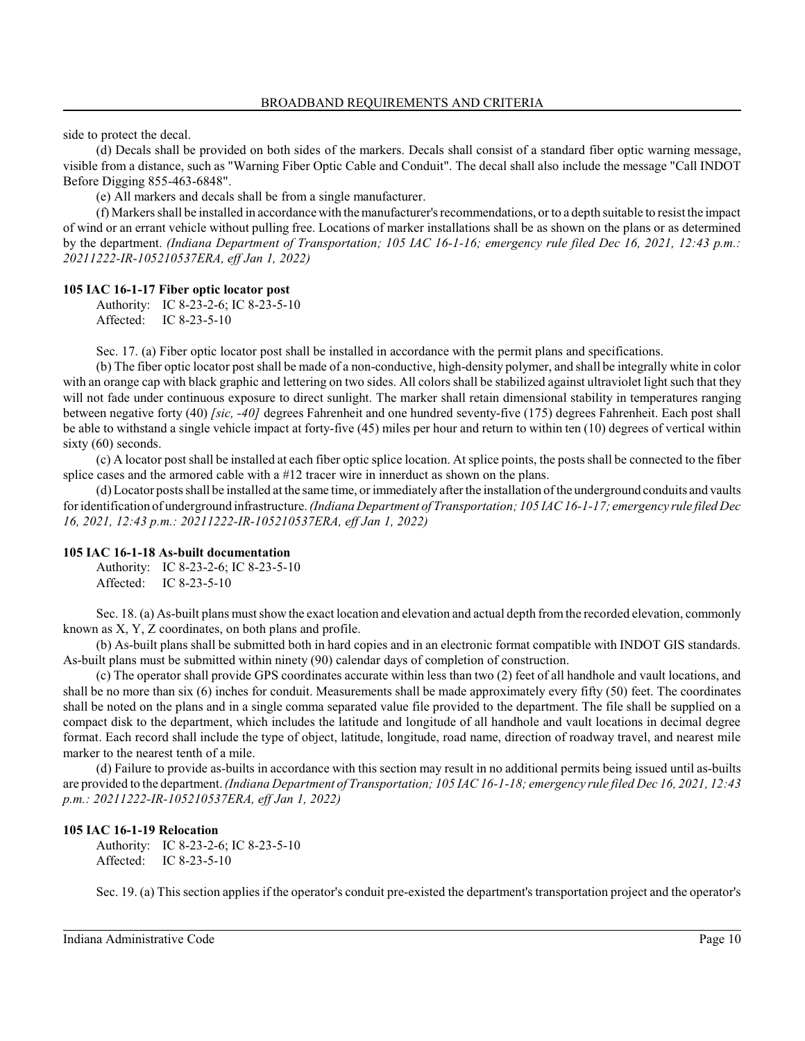side to protect the decal.

(d) Decals shall be provided on both sides of the markers. Decals shall consist of a standard fiber optic warning message, visible from a distance, such as "Warning Fiber Optic Cable and Conduit". The decal shall also include the message "Call INDOT Before Digging 855-463-6848".

(e) All markers and decals shall be from a single manufacturer.

(f) Markers shall be installed in accordance with the manufacturer's recommendations, or to a depth suitable to resist the impact of wind or an errant vehicle without pulling free. Locations of marker installations shall be as shown on the plans or as determined by the department. *(Indiana Department of Transportation; 105 IAC 16-1-16; emergency rule filed Dec 16, 2021, 12:43 p.m.: 20211222-IR-105210537ERA, eff Jan 1, 2022)*

#### **105 IAC 16-1-17 Fiber optic locator post**

Authority: IC 8-23-2-6; IC 8-23-5-10 Affected: IC 8-23-5-10

Sec. 17. (a) Fiber optic locator post shall be installed in accordance with the permit plans and specifications.

(b) The fiber optic locator post shall be made of a non-conductive, high-density polymer, and shall be integrally white in color with an orange cap with black graphic and lettering on two sides. All colors shall be stabilized against ultraviolet light such that they will not fade under continuous exposure to direct sunlight. The marker shall retain dimensional stability in temperatures ranging between negative forty (40) *[sic, -40]* degrees Fahrenheit and one hundred seventy-five (175) degrees Fahrenheit. Each post shall be able to withstand a single vehicle impact at forty-five (45) miles per hour and return to within ten (10) degrees of vertical within sixty (60) seconds.

(c) A locator post shall be installed at each fiber optic splice location. At splice points, the posts shall be connected to the fiber splice cases and the armored cable with a #12 tracer wire in innerduct as shown on the plans.

(d) Locator posts shall be installed at the same time, or immediately after the installation of the underground conduits and vaults for identification of underground infrastructure. *(Indiana Department of Transportation; 105 IAC 16-1-17; emergency rule filed Dec 16, 2021, 12:43 p.m.: 20211222-IR-105210537ERA, eff Jan 1, 2022)*

#### **105 IAC 16-1-18 As-built documentation**

Authority: IC 8-23-2-6; IC 8-23-5-10 Affected: IC 8-23-5-10

Sec. 18. (a) As-built plans mustshowthe exact location and elevation and actual depth fromthe recorded elevation, commonly known as X, Y, Z coordinates, on both plans and profile.

(b) As-built plans shall be submitted both in hard copies and in an electronic format compatible with INDOT GIS standards. As-built plans must be submitted within ninety (90) calendar days of completion of construction.

(c) The operator shall provide GPS coordinates accurate within less than two (2) feet of all handhole and vault locations, and shall be no more than six (6) inches for conduit. Measurements shall be made approximately every fifty (50) feet. The coordinates shall be noted on the plans and in a single comma separated value file provided to the department. The file shall be supplied on a compact disk to the department, which includes the latitude and longitude of all handhole and vault locations in decimal degree format. Each record shall include the type of object, latitude, longitude, road name, direction of roadway travel, and nearest mile marker to the nearest tenth of a mile.

(d) Failure to provide as-builts in accordance with this section may result in no additional permits being issued until as-builts are provided to the department. *(Indiana Department of Transportation; 105 IAC 16-1-18; emergency rule filed Dec 16, 2021, 12:43 p.m.: 20211222-IR-105210537ERA, eff Jan 1, 2022)*

#### **105 IAC 16-1-19 Relocation**

Authority: IC 8-23-2-6; IC 8-23-5-10 Affected: IC 8-23-5-10

Sec. 19. (a) Thissection applies if the operator's conduit pre-existed the department's transportation project and the operator's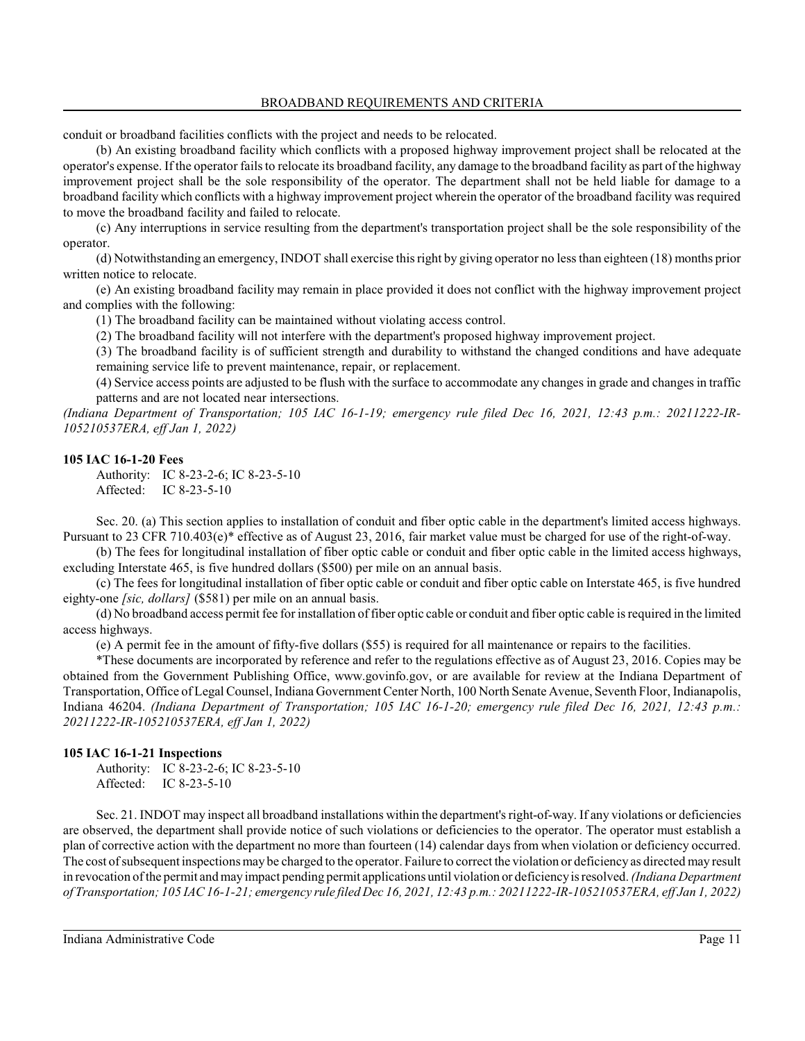conduit or broadband facilities conflicts with the project and needs to be relocated.

(b) An existing broadband facility which conflicts with a proposed highway improvement project shall be relocated at the operator's expense. If the operator failsto relocate its broadband facility, any damage to the broadband facility as part of the highway improvement project shall be the sole responsibility of the operator. The department shall not be held liable for damage to a broadband facility which conflicts with a highway improvement project wherein the operator of the broadband facility was required to move the broadband facility and failed to relocate.

(c) Any interruptions in service resulting from the department's transportation project shall be the sole responsibility of the operator.

(d) Notwithstanding an emergency, INDOT shall exercise thisright by giving operator no less than eighteen (18) months prior written notice to relocate.

(e) An existing broadband facility may remain in place provided it does not conflict with the highway improvement project and complies with the following:

(1) The broadband facility can be maintained without violating access control.

(2) The broadband facility will not interfere with the department's proposed highway improvement project.

(3) The broadband facility is of sufficient strength and durability to withstand the changed conditions and have adequate remaining service life to prevent maintenance, repair, or replacement.

(4) Service access points are adjusted to be flush with the surface to accommodate any changes in grade and changes in traffic patterns and are not located near intersections.

*(Indiana Department of Transportation; 105 IAC 16-1-19; emergency rule filed Dec 16, 2021, 12:43 p.m.: 20211222-IR-105210537ERA, eff Jan 1, 2022)*

#### **105 IAC 16-1-20 Fees**

Authority: IC 8-23-2-6; IC 8-23-5-10 Affected: IC 8-23-5-10

Sec. 20. (a) This section applies to installation of conduit and fiber optic cable in the department's limited access highways. Pursuant to 23 CFR 710.403(e)\* effective as of August 23, 2016, fair market value must be charged for use of the right-of-way.

(b) The fees for longitudinal installation of fiber optic cable or conduit and fiber optic cable in the limited access highways, excluding Interstate 465, is five hundred dollars (\$500) per mile on an annual basis.

(c) The fees for longitudinal installation of fiber optic cable or conduit and fiber optic cable on Interstate 465, is five hundred eighty-one *[sic, dollars]* (\$581) per mile on an annual basis.

(d) No broadband access permit fee for installation of fiber optic cable or conduit and fiber optic cable is required in the limited access highways.

(e) A permit fee in the amount of fifty-five dollars (\$55) is required for all maintenance or repairs to the facilities.

\*These documents are incorporated by reference and refer to the regulations effective as of August 23, 2016. Copies may be obtained from the Government Publishing Office, www.govinfo.gov, or are available for review at the Indiana Department of Transportation, Office of Legal Counsel, Indiana Government Center North, 100 North Senate Avenue, Seventh Floor, Indianapolis, Indiana 46204. *(Indiana Department of Transportation; 105 IAC 16-1-20; emergency rule filed Dec 16, 2021, 12:43 p.m.: 20211222-IR-105210537ERA, eff Jan 1, 2022)*

### **105 IAC 16-1-21 Inspections**

Authority: IC 8-23-2-6; IC 8-23-5-10 Affected: IC 8-23-5-10

Sec. 21. INDOT may inspect all broadband installations within the department's right-of-way. If any violations or deficiencies are observed, the department shall provide notice of such violations or deficiencies to the operator. The operator must establish a plan of corrective action with the department no more than fourteen (14) calendar days from when violation or deficiency occurred. The cost of subsequent inspections may be charged to the operator. Failure to correct the violation or deficiency as directed may result in revocation of the permit and may impact pending permit applications until violation or deficiencyis resolved.*(Indiana Department of Transportation; 105 IAC 16-1-21; emergency rule filed Dec 16, 2021, 12:43 p.m.: 20211222-IR-105210537ERA, eff Jan 1, 2022)*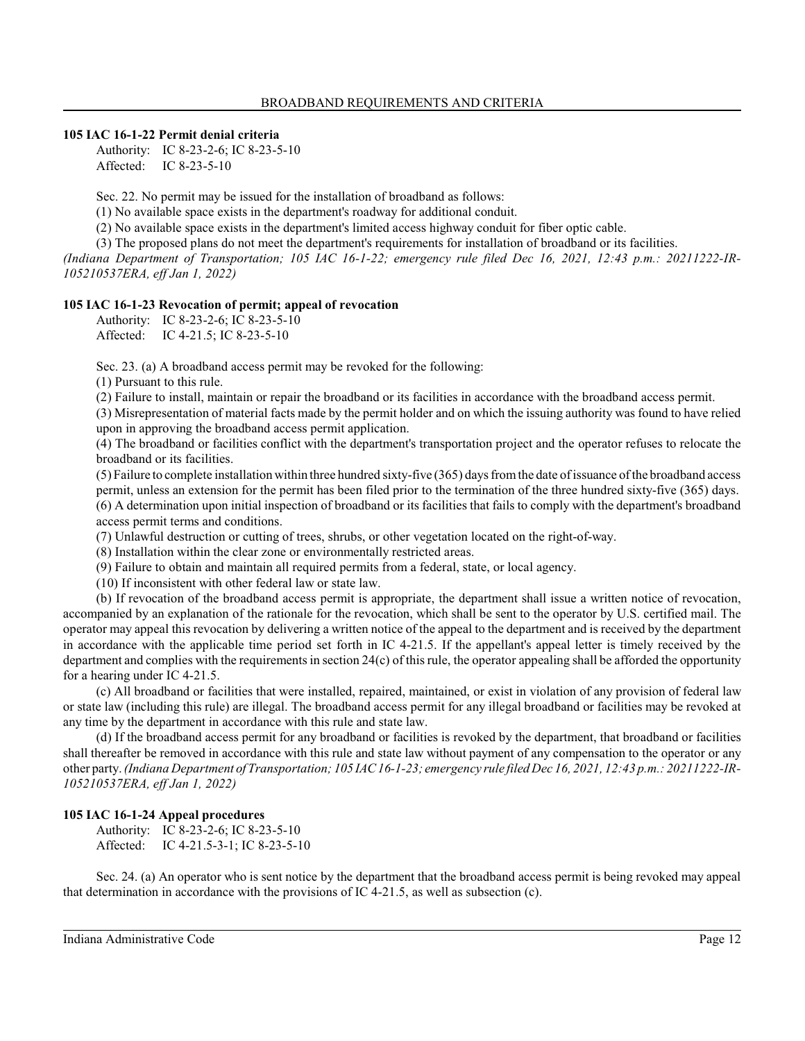### **105 IAC 16-1-22 Permit denial criteria**

Authority: IC 8-23-2-6; IC 8-23-5-10 Affected: IC 8-23-5-10

Sec. 22. No permit may be issued for the installation of broadband as follows:

(1) No available space exists in the department's roadway for additional conduit.

(2) No available space exists in the department's limited access highway conduit for fiber optic cable.

(3) The proposed plans do not meet the department's requirements for installation of broadband or its facilities.

*(Indiana Department of Transportation; 105 IAC 16-1-22; emergency rule filed Dec 16, 2021, 12:43 p.m.: 20211222-IR-105210537ERA, eff Jan 1, 2022)*

### **105 IAC 16-1-23 Revocation of permit; appeal of revocation**

Authority: IC 8-23-2-6; IC 8-23-5-10 Affected: IC 4-21.5; IC 8-23-5-10

Sec. 23. (a) A broadband access permit may be revoked for the following:

(1) Pursuant to this rule.

(2) Failure to install, maintain or repair the broadband or its facilities in accordance with the broadband access permit.

(3) Misrepresentation of material facts made by the permit holder and on which the issuing authority was found to have relied upon in approving the broadband access permit application.

(4) The broadband or facilities conflict with the department's transportation project and the operator refuses to relocate the broadband or its facilities.

(5) Failure to complete installation within three hundred sixty-five (365) days fromthe date of issuance of the broadband access permit, unless an extension for the permit has been filed prior to the termination of the three hundred sixty-five (365) days. (6) A determination upon initial inspection of broadband or its facilities that fails to comply with the department's broadband access permit terms and conditions.

(7) Unlawful destruction or cutting of trees, shrubs, or other vegetation located on the right-of-way.

(8) Installation within the clear zone or environmentally restricted areas.

(9) Failure to obtain and maintain all required permits from a federal, state, or local agency.

(10) If inconsistent with other federal law or state law.

(b) If revocation of the broadband access permit is appropriate, the department shall issue a written notice of revocation, accompanied by an explanation of the rationale for the revocation, which shall be sent to the operator by U.S. certified mail. The operator may appeal this revocation by delivering a written notice of the appeal to the department and is received by the department in accordance with the applicable time period set forth in IC 4-21.5. If the appellant's appeal letter is timely received by the department and complies with the requirements in section 24(c) of thisrule, the operator appealing shall be afforded the opportunity for a hearing under IC 4-21.5.

(c) All broadband or facilities that were installed, repaired, maintained, or exist in violation of any provision of federal law or state law (including this rule) are illegal. The broadband access permit for any illegal broadband or facilities may be revoked at any time by the department in accordance with this rule and state law.

(d) If the broadband access permit for any broadband or facilities is revoked by the department, that broadband or facilities shall thereafter be removed in accordance with this rule and state law without payment of any compensation to the operator or any other party. *(Indiana Department of Transportation; 105 IAC16-1-23; emergency rule filed Dec 16, 2021, 12:43 p.m.: 20211222-IR-105210537ERA, eff Jan 1, 2022)*

# **105 IAC 16-1-24 Appeal procedures**

Authority: IC 8-23-2-6; IC 8-23-5-10 Affected: IC 4-21.5-3-1; IC 8-23-5-10

Sec. 24. (a) An operator who is sent notice by the department that the broadband access permit is being revoked may appeal that determination in accordance with the provisions of IC 4-21.5, as well as subsection (c).